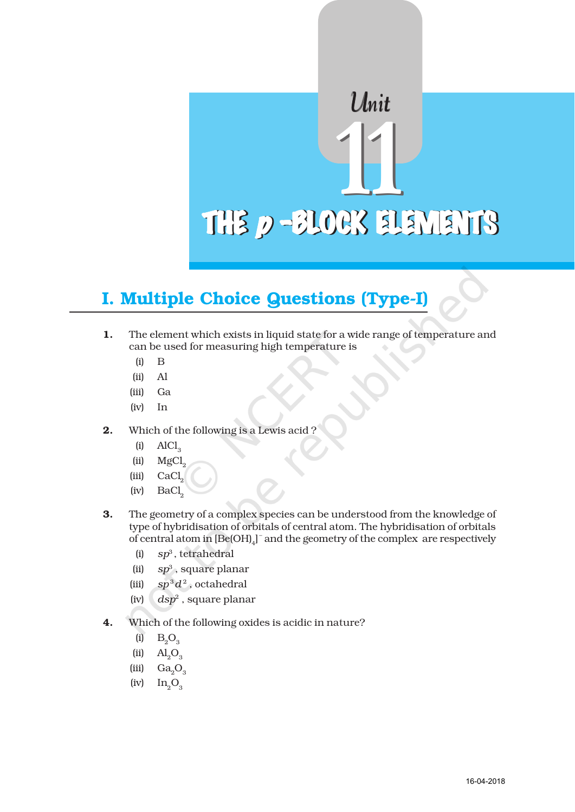# Unit  $\frac{1}{\sqrt{2}}$ THE *p*-BLOCK ELEMENTS

## I. Multiple Choice Questions (Type-I)

- 1. The element which exists in liquid state for a wide range of temperature and can be used for measuring high temperature is
	- (i) B
	- (ii) Al
	- (iii) Ga
	- (iv) In
- 2. Which of the following is a Lewis acid ?
	- $(i)$  AlCl<sub>3</sub>
	- $(iii)$  MgCl<sub>2</sub>
	- $(iii)$  CaCl<sub>2</sub>
	- $(iv)$  BaCl<sub>2</sub>
- 3. The geometry of a complex species can be understood from the knowledge of type of hybridisation of orbitals of central atom. The hybridisation of orbitals of central atom in  $[{\rm Be(OH)}_{4}]^-$  and the geometry of the complex are respectively
	- (i) *sp*3 , tetrahedral
	- (ii) *sp*3 , square planar
	- (iii)  $sp^3d^2$ , octahedral
	- (iv) *dsp*2 , square planar
- 4. Which of the following oxides is acidic in nature?
	- (i)  $B_2O_3$
	- $\text{(ii)} \quad \text{Al}_3\text{O}_3$
	- (iii)  $Ga<sub>3</sub>O<sub>3</sub>$
	- $(iv)$   $In_3O_3$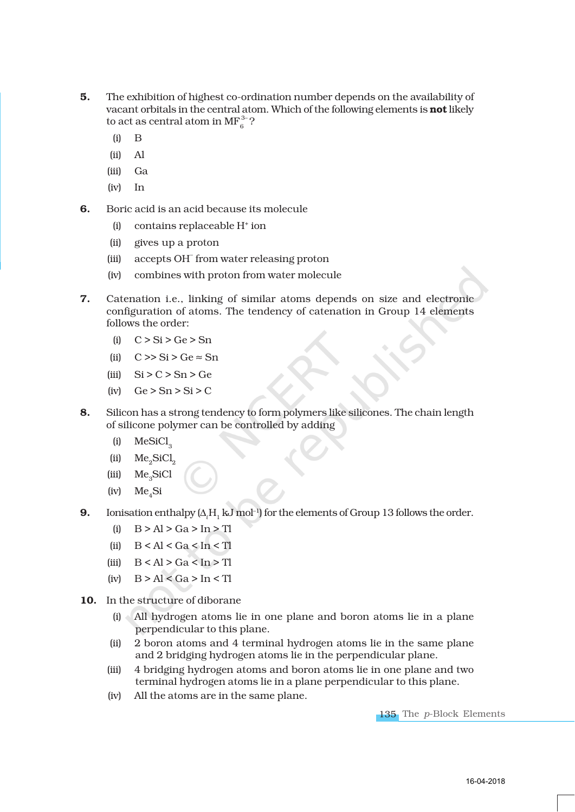- 5. The exhibition of highest co-ordination number depends on the availability of vacant orbitals in the central atom. Which of the following elements is not likely to act as central atom in  $\text{MF}_6^{3-}$ ?
	- (i) B
	- (ii) Al
	- (iii) Ga
	- (iv) In
- 6. Boric acid is an acid because its molecule
	- (i) contains replaceable H+ ion
	- (ii) gives up a proton
	- (iii) accepts OH– from water releasing proton
	- (iv) combines with proton from water molecule
- 7. Catenation i.e., linking of similar atoms depends on size and electronic configuration of atoms. The tendency of catenation in Group 14 elements follows the order:
	- (i)  $C > Si > Ge > Sn$
	- (ii)  $C \gg Si > Ge \approx Sn$
	- (iii)  $\text{Si} > C > \text{Sn} > \text{Ge}$
	- (iv)  $Ge > Sn > Si > C$
- 8. Silicon has a strong tendency to form polymers like silicones. The chain length of silicone polymer can be controlled by adding
	- $(ii)$  MeSiCl<sub>3</sub>
	- (ii)  $Me<sub>2</sub>SiCl<sub>2</sub>$
	- (iii) Me<sub>2</sub>SiCl
	- $(iv)$  Me.Si
- **9.** Ionisation enthalpy  $(\Delta_i H_1 \mathbf{k} \text{J mol}^{-1})$  for the elements of Group 13 follows the order.
	- (i)  $B > Al > Ga > In > Tl$
	- (ii)  $B < A l < Ga < In < Tl$
	- (iii)  $B < A l > Ga < In > Tl$
	- (iv)  $B > Al < Ga > In < Tl$
- 10. In the structure of diborane
	- (i) All hydrogen atoms lie in one plane and boron atoms lie in a plane perpendicular to this plane.
	- (ii) 2 boron atoms and 4 terminal hydrogen atoms lie in the same plane and 2 bridging hydrogen atoms lie in the perpendicular plane.
	- (iii) 4 bridging hydrogen atoms and boron atoms lie in one plane and two terminal hydrogen atoms lie in a plane perpendicular to this plane.
	- (iv) All the atoms are in the same plane.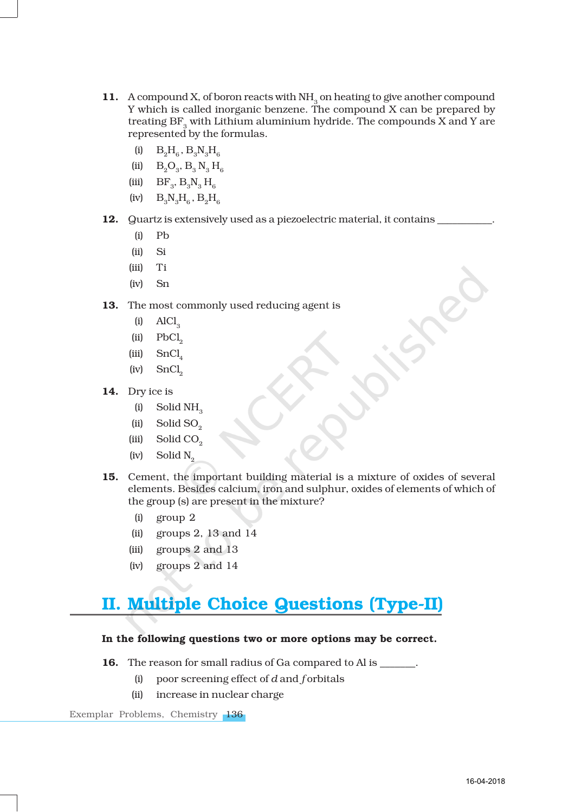- 11. A compound X, of boron reacts with NH<sub>3</sub> on heating to give another compound Y which is called inorganic benzene. The compound X can be prepared by treating  $BF$ <sub>s</sub> with Lithium aluminium hydride. The compounds  $\overline{X}$  and  $\overline{Y}$  are represented by the formulas.
	- (i)  $B_2H_6$ ,  $B_3N_3H_6$
	- (ii)  $B_2O_3$ ,  $B_3 N_3 H_6$
	- (iii)  $BF_{3}$ ,  $B_{3}N_{3}H_{6}$
	- $(iv)$   $B_0N_2H_c$ ,  $B_0H_c$
- 12. Quartz is extensively used as a piezoelectric material, it contains
	- (i) Pb
	- (ii) Si
	- (iii) Ti
	- (iv) Sn
- 13. The most commonly used reducing agent is
	- $\text{AlCl}_3$
	- $(iii)$  PbCl<sub>2</sub>
	- $(iii)$  SnCl<sub>4</sub>
	- $(iv)$  SnCl<sub>2</sub>
- 14. Dry ice is
	- $(i)$  Solid NH<sub>3</sub>
	- $(iii)$  Solid SO<sub>2</sub>
	- (iii) Solid CO<sub>2</sub>
	- $(iv)$  Solid N<sub>2</sub>
- 15. Cement, the important building material is a mixture of oxides of several elements. Besides calcium, iron and sulphur, oxides of elements of which of the group (s) are present in the mixture?
	- (i) group 2
	- (ii) groups 2, 13 and  $14$
	- (iii) groups 2 and 13
	- (iv) groups 2 and 14

### II. Multiple Choice Questions (Type-II)

#### In the following questions two or more options may be correct.

- 16. The reason for small radius of Ga compared to Al is  $\qquad \qquad$ .
	- (i) poor screening effect of *d* and *f* orbitals
	- (ii) increase in nuclear charge

Exemplar Problems, Chemistry 136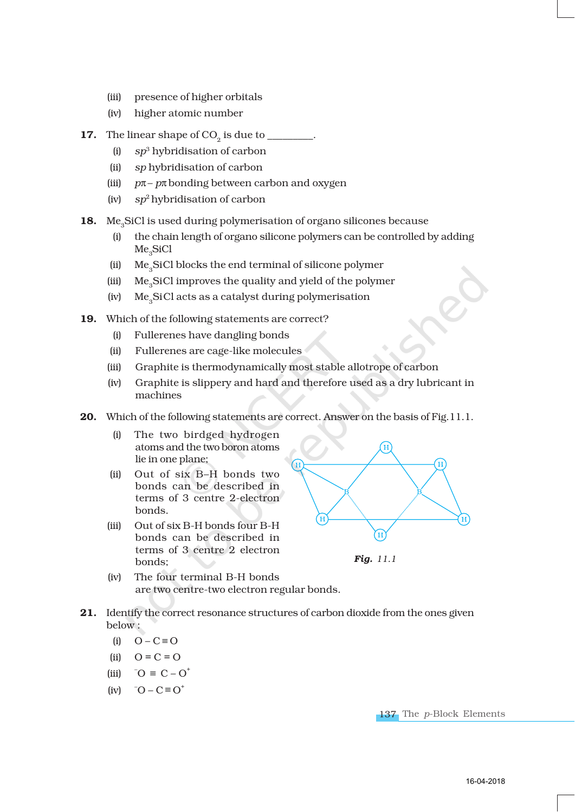- (iii) presence of higher orbitals
- (iv) higher atomic number
- 17. The linear shape of  $CO<sub>2</sub>$  is due to  $\_\_$ 
	- (i) *sp*3 hybridisation of carbon
	- (ii) *sp* hybridisation of carbon
	- (iii) *p*π– *p*π bonding between carbon and oxygen
	- (iv) *sp*2 hybridisation of carbon
- 18. Me<sub>2</sub>SiCl is used during polymerisation of organo silicones because
	- (i) the chain length of organo silicone polymers can be controlled by adding Me<sub>2</sub>SiCl
	- (ii) Me<sub>3</sub>SiCl blocks the end terminal of silicone polymer
	- (iii) Me<sub>3</sub>SiCl improves the quality and yield of the polymer
	- (iv) Me3SiCl acts as a catalyst during polymerisation
- 19. Which of the following statements are correct?
	- (i) Fullerenes have dangling bonds
	- (ii) Fullerenes are cage-like molecules
	- (iii) Graphite is thermodynamically most stable allotrope of carbon
	- (iv) Graphite is slippery and hard and therefore used as a dry lubricant in machines
- 20. Which of the following statements are correct. Answer on the basis of Fig.11.1.
	- (i) The two birdged hydrogen atoms and the two boron atoms lie in one plane;
	- (ii) Out of six B–H bonds two bonds can be described in terms of 3 centre 2-electron bonds.
	- (iii) Out of six B-H bonds four B-H bonds can be described in terms of 3 centre 2 electron bonds;



*Fig. 11.1*

- (iv) The four terminal B-H bonds are two centre-two electron regular bonds.
- 21. Identify the correct resonance structures of carbon dioxide from the ones given below :
	- (i)  $O C \equiv O$
	- (ii)  $Q = C = Q$
	- (iii)  $^{\circ}$  O  $\equiv$  C O<sup>+</sup>
	- (iv)  $\overline{O} C \equiv O^+$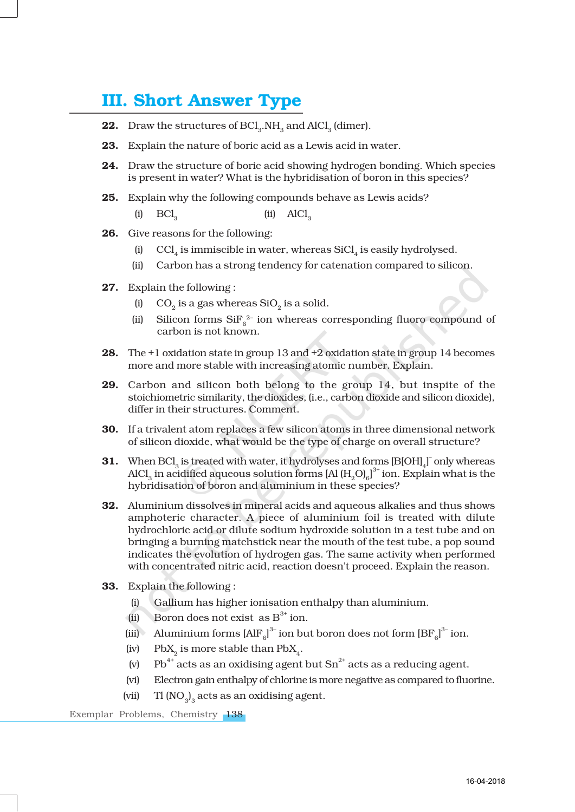### III. Short Answer Type

- 22. Draw the structures of BCl<sub>3</sub>.NH<sub>3</sub> and AlCl<sub>3</sub> (dimer).
- 23. Explain the nature of boric acid as a Lewis acid in water.
- 24. Draw the structure of boric acid showing hydrogen bonding. Which species is present in water? What is the hybridisation of boron in this species?
- 25. Explain why the following compounds behave as Lewis acids?

(i)  $BCl<sub>2</sub>$  (ii)  $AICI<sub>2</sub>$ 

- 26. Give reasons for the following:
	- (i)  $\mathbb{C}Cl_{4}$  is immiscible in water, whereas SiCl<sub>4</sub> is easily hydrolysed.
	- (ii) Carbon has a strong tendency for catenation compared to silicon.
- 27. Explain the following :
	- (i)  $CO<sub>2</sub>$  is a gas whereas SiO<sub>2</sub> is a solid.
	- (ii) Silicon forms  $\text{SiF}_6^{2-}$  ion whereas corresponding fluoro compound of carbon is not known.
- 28. The +1 oxidation state in group 13 and +2 oxidation state in group 14 becomes more and more stable with increasing atomic number. Explain.
- 29. Carbon and silicon both belong to the group 14, but inspite of the stoichiometric similarity, the dioxides, (i.e., carbon dioxide and silicon dioxide), differ in their structures. Comment.
- 30. If a trivalent atom replaces a few silicon atoms in three dimensional network of silicon dioxide, what would be the type of charge on overall structure?
- **31.** When BCl<sub>3</sub> is treated with water, it hydrolyses and forms  $[{\rm B}[\rm OH]_{4}]^T$  only whereas AlCl $_3$  in acidified aqueous solution forms [Al (H $_2$ O) $_6$ ] $^3\!^*$  ion. Explain what is the hybridisation of boron and aluminium in these species?
- 32. Aluminium dissolves in mineral acids and aqueous alkalies and thus shows amphoteric character. A piece of aluminium foil is treated with dilute hydrochloric acid or dilute sodium hydroxide solution in a test tube and on bringing a burning matchstick near the mouth of the test tube, a pop sound indicates the evolution of hydrogen gas. The same activity when performed with concentrated nitric acid, reaction doesn't proceed. Explain the reason.
- 33. Explain the following :
	- (i) Gallium has higher ionisation enthalpy than aluminium.
	- (ii) Boron does not exist as  $B^{3+}$  ion.
	- (iii) Aluminium forms  $[AlF_6]^3$  ion but boron does not form  $[Br_6]^3$  ion.
	- (iv) PbX<sub>a</sub> is more stable than PbX<sub>4</sub>.
	- (v) Pb<sup>4+</sup> acts as an oxidising agent but  $Sn^{2+}$  acts as a reducing agent.
	- (vi) Electron gain enthalpy of chlorine is more negative as compared to fluorine.
	- (vii)  $\text{Tl} \left( \text{NO}_3 \right)_3$  acts as an oxidising agent.

Exemplar Problems, Chemistry 138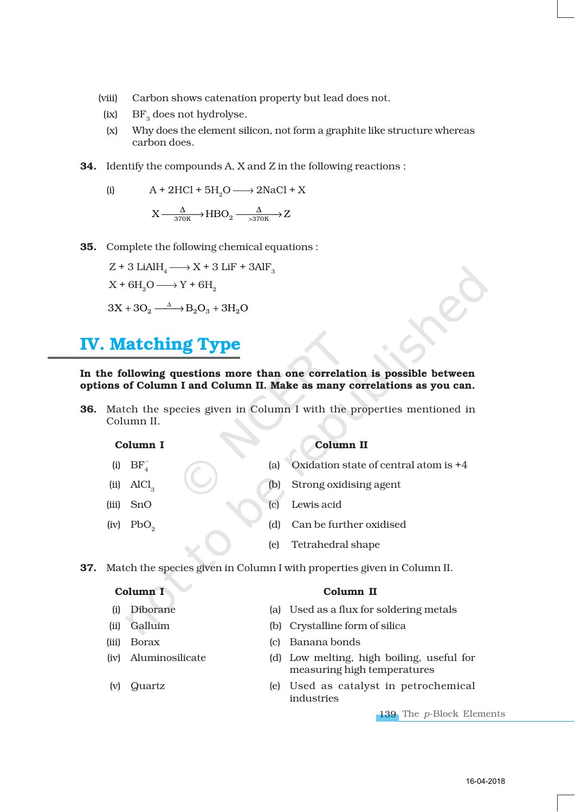- (viii) Carbon shows catenation property but lead does not.
- (ix)  $BF<sub>3</sub>$  does not hydrolyse.
- (x) Why does the element silicon, not form a graphite like structure whereas carbon does.
- 34. Identify the compounds A, X and Z in the following reactions :

(i) 
$$
A + 2HCl + 5H_2O \longrightarrow 2NaCl + X
$$
  
 $X \xrightarrow{ \Delta \atop 370K} HBO_2 \xrightarrow{ \Delta \atop 370K} Z$ 

35. Complete the following chemical equations :

$$
Z + 3 LiAlH4 \longrightarrow X + 3 LiF + 3AlF3
$$

$$
X + 6H2O \longrightarrow Y + 6H2
$$

$$
3X + 3O2 \longrightarrow B2O3 + 3H2O
$$

### IV. Matching Type

#### In the following questions more than one correlation is possible between options of Column I and Column II. Make as many correlations as you can.

36. Match the species given in Column I with the properties mentioned in Column II.

(i)  $BF_{4}^{-}$ 

#### Column I Column II

- (a) Oxidation state of central atom is  $+4$
- (ii) AlCl<sub>3</sub> (b) Strong oxidising agent
- (iii) SnO (c) Lewis acid
- (iv) PbO<sub>2</sub> (d) Can be further oxidised
	- (e) Tetrahedral shape

37. Match the species given in Column I with properties given in Column II.

### Column I Column II

- (i) Diborane (a) Used as a flux for soldering metals
- (ii) Galluim (b) Crystalline form of silica
- 
- 
- 
- (iii) Borax (c) Banana bonds
- (iv) Aluminosilicate (d) Low melting, high boiling, useful for measuring high temperatures
- (v) Quartz (e) Used as catalyst in petrochemical industries

139 The *p*-Block Elements

#### 16-04-2018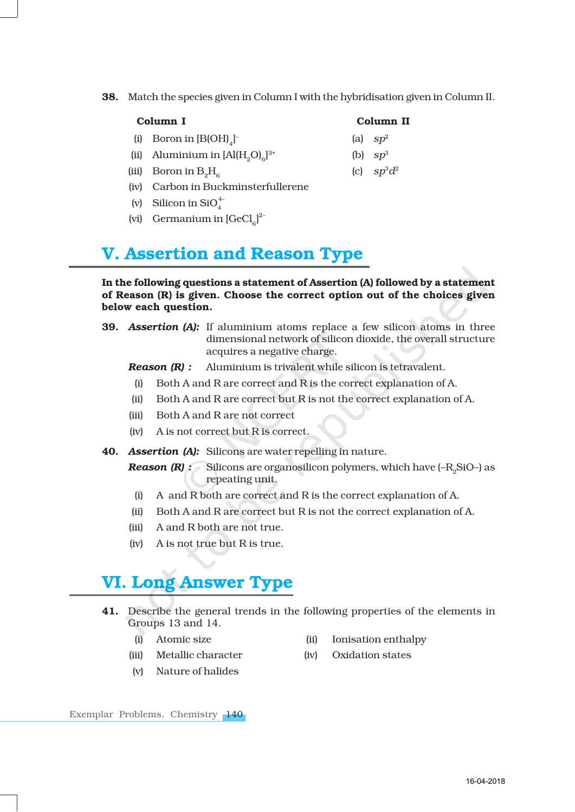38. Match the species given in Column I with the hybridisation given in Column II.

| Column I |
|----------|
|----------|

- (i) Boron in  $[B(OH)_4]$
- (ii) Aluminium in  $[A](H, O)_{c}]^{3+}$
- (iii) Boron in  $B_0H_c$  (c)  $sp^3d^2$
- (iv) Carbon in Buckminsterfullerene
- (v) Silicon in  $SiO_4^4$
- (vi) Germanium in  $[GeCl_{6}]^{2}$

### V. Assertion and Reason Type

### In the following questions a statement of Assertion (A) followed by a statement of Reason (R) is given. Choose the correct option out of the choices given below each question.

39. *Assertion (A):* If aluminium atoms replace a few silicon atoms in three dimensional network of silicon dioxide, the overall structure acquires a negative charge.

*Reason (R) :* Aluminium is trivalent while silicon is tetravalent.

- (i) Both A and R are correct and R is the correct explanation of A.
- (ii) Both A and R are correct but R is not the correct explanation of A.
- (iii) Both A and R are not correct
- (iv) A is not correct but R is correct.
- 40. *Assertion (A):* Silicons are water repelling in nature.
	- *Reason (R) :* Silicons are organosilicon polymers, which have (–R<sub>2</sub>SiO–) as repeating unit.
	- (i) A and R both are correct and R is the correct explanation of A.
	- (ii) Both A and R are correct but R is not the correct explanation of A.
	- (iii) A and R both are not true.
	- (iv) A is not true but R is true.

### VI. Long Answer Type

- 41. Describe the general trends in the following properties of the elements in Groups 13 and 14.
	-
	- (i) Atomic size (ii) Ionisation enthalpy
	- (iii) Metallic character (iv) Oxidation states
	- (v) Nature of halides

Exemplar Problems, Chemistry 140

16-04-2018

- Column II
- (a)  $sp<sup>2</sup>$
- (b)  $sp^3$
-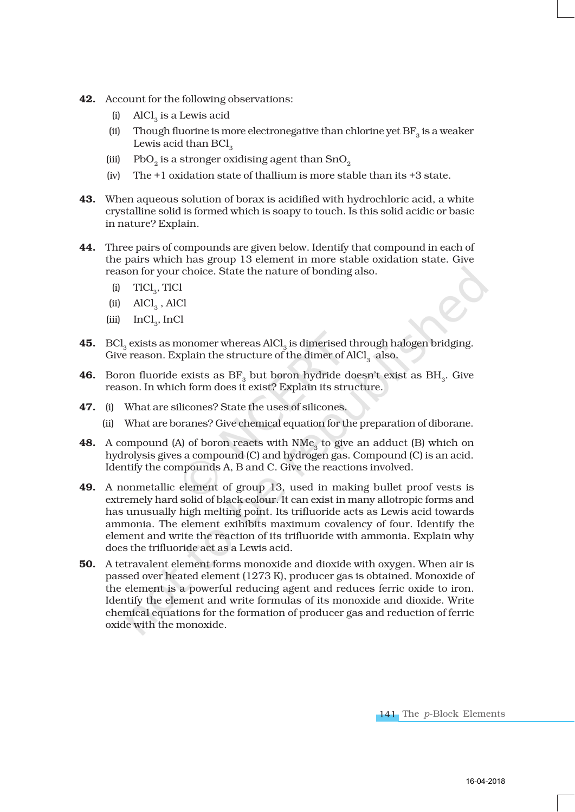- 42. Account for the following observations:
	- $(i)$  AlCl<sub>2</sub> is a Lewis acid
	- (ii) Though fluorine is more electronegative than chlorine yet  $BF_a$  is a weaker Lewis acid than BCl<sub>2</sub>
	- (iii) PbO<sub>2</sub> is a stronger oxidising agent than  $\mathrm{SnO}_{2}$
	- (iv) The +1 oxidation state of thallium is more stable than its +3 state.
- 43. When aqueous solution of borax is acidified with hydrochloric acid, a white crystalline solid is formed which is soapy to touch. Is this solid acidic or basic in nature? Explain.
- 44. Three pairs of compounds are given below. Identify that compound in each of the pairs which has group 13 element in more stable oxidation state. Give reason for your choice. State the nature of bonding also.
	- $(i)$  TlCl<sub>3</sub>, TlCl
	- $(iii)$  AlCl<sub>3</sub>, AlCl
	- (iii)  $InCl_3$ , InCl
- 45. BCl<sub>3</sub> exists as monomer whereas AlCl<sub>3</sub> is dimerised through halogen bridging. Give reason. Explain the structure of the dimer of  $AICI<sub>3</sub>$  also.
- **46.** Boron fluoride exists as  $BF_3$  but boron hydride doesn't exist as  $BH_3$ . Give reason. In which form does it exist? Explain its structure.
- 47. (i) What are silicones? State the uses of silicones.
	- (ii) What are boranes? Give chemical equation for the preparation of diborane.
- **48.** A compound (A) of boron reacts with  $NMe<sub>3</sub>$  to give an adduct (B) which on hydrolysis gives a compound (C) and hydrogen gas. Compound (C) is an acid. Identify the compounds A, B and C. Give the reactions involved.
- 49. A nonmetallic element of group 13, used in making bullet proof vests is extremely hard solid of black colour. It can exist in many allotropic forms and has unusually high melting point. Its trifluoride acts as Lewis acid towards ammonia. The element exihibits maximum covalency of four. Identify the element and write the reaction of its trifluoride with ammonia. Explain why does the trifluoride act as a Lewis acid.
- 50. A tetravalent element forms monoxide and dioxide with oxygen. When air is passed over heated element (1273 K), producer gas is obtained. Monoxide of the element is a powerful reducing agent and reduces ferric oxide to iron. Identify the element and write formulas of its monoxide and dioxide. Write chemical equations for the formation of producer gas and reduction of ferric oxide with the monoxide.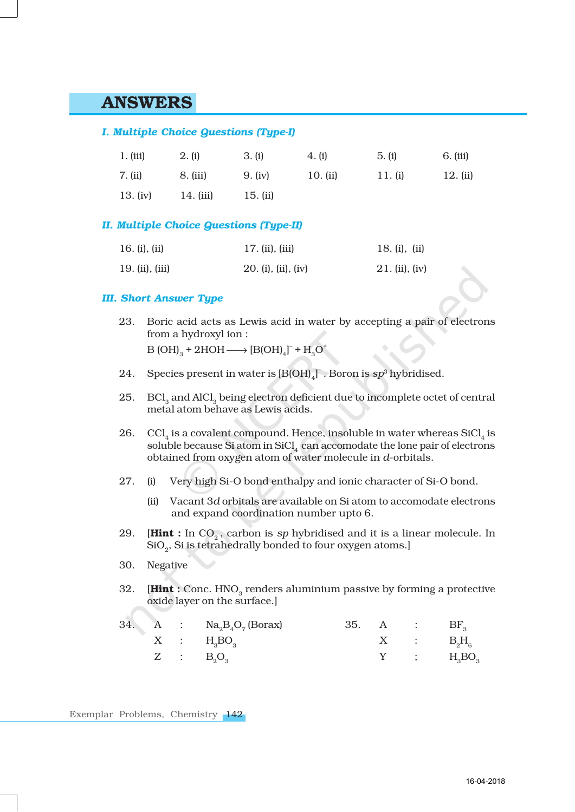### ANSWERS

#### *I. Multiple Choice Questions (Type-I)*

| 1. (iii)   | 2. (i)      | 3. (i)     | 4. (i)     | 5. (i)  | 6. (iii) |
|------------|-------------|------------|------------|---------|----------|
| 7. (ii)    | 8. (iii)    | 9. (iv)    | 10. $(ii)$ | 11. (i) | 12. (ii) |
| 13. $(iv)$ | $14.$ (iii) | 15. $(ii)$ |            |         |          |

### *II. Multiple Choice Questions (Type-II)*

| 16. (i), (ii)   | 17. (ii), (iii)     | 18. (i), (ii)  |
|-----------------|---------------------|----------------|
| 19. (ii), (iii) | 20. (i), (ii), (iv) | 21. (ii), (iv) |

### *III. Short Answer Type*

- 23. Boric acid acts as Lewis acid in water by accepting a pair of electrons from a hydroxyl ion :  $B(OH)_{3} + 2HOH \longrightarrow [B(OH)_{4}]^{+} + H_{3}O^{+}$
- 24. Species present in water is  $[B(OH)_4]$ . Boron is  $sp^3$  hybridised.
- 25. BCl<sub>3</sub> and AlCl<sub>3</sub> being electron deficient due to incomplete octet of central metal atom behave as Lewis acids.
- 26. CCl<sub>4</sub> is a covalent compound. Hence, insoluble in water whereas SiCl<sub>4</sub> is soluble because Si atom in  $SiCl<sub>4</sub>$  can accomodate the lone pair of electrons obtained from oxygen atom of water molecule in *d*-orbitals.
- 27. (i) Very high Si-O bond enthalpy and ionic character of Si-O bond.
	- (ii) Vacant 3*d* orbitals are available on Si atom to accomodate electrons and expand coordination number upto 6.
- 29. **[Hint :** In  $CO<sub>2</sub>$ , carbon is *sp* hybridised and it is a linear molecule. In SiO<sub>2</sub>, Si is tetrahedrally bonded to four oxygen atoms.]
- 30. Negative
- 32. [ $Hint: Conc. HNO<sub>3</sub> renders aluminum passive by forming a protective$ oxide layer on the surface.]

|  | 34. A : $\text{Na}_2\text{B}_4\text{O}_7$ (Borax) |  | 35. $A$ : BF <sub>2</sub> |
|--|---------------------------------------------------|--|---------------------------|
|  | $X$ : $H3BO3$                                     |  | $X$ : $B_2H_6$            |
|  | $Z$ : $B_3O_3$                                    |  | $Y$ ; $H_{3}BO_{3}$       |

Exemplar Problems, Chemistry 142